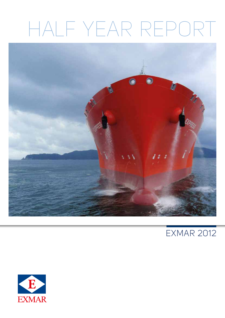# HALF YEAR REPORT



# EXMAR 2012

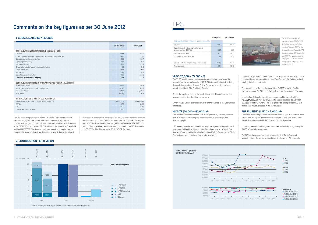### **Comments on the key figures as per 30 June 2012**



The Group has an operating result (EBIT) of USD 52.5 million for the first semester 2012 (USD -11.6 million for the first semester 2011). This result includes a capital gain of USD 23.9 million on the final settlement of the sale of the OPTI-EX® , a net profit of USD 6.3 million on the sale of the *CHACONIA* and the *ELVERSELE*. The financial result was negatively impacted by the change in fair value of interest rate derivatives entered to hedge the interest

rate exposure on long term financing of the fleet, which resulted in a non-cash unrealised loss of USD -1.0 million (first semester 2011: USD -3.7 million) and by USD -0.3 million unrealised exchange loss (first semester 2011: USD 1.6 million). The consolidated result after taxation for the first half 2012 amounts to USD 33.6 million (first semester 2011 USD -37.9 million).



### **1. Consolidated key figures**

|                                                                    | 30/06/2012 | 30/06/2011 |
|--------------------------------------------------------------------|------------|------------|
|                                                                    |            |            |
| <b>CONSOLIDATED INCOME STATEMENT (IN MILLION USD)</b>              |            |            |
| Revenue                                                            | 228.8      | 224.0      |
| Operating result before depreciations and impairment loss (EBITDA) | 91.3       | 54.1       |
| Depreciations and impairment loss                                  | $-38.8$    | $-65.7$    |
| Operating result (EBIT)                                            | 52.5       | $-11.6$    |
| Net financial result                                               | $-16.7$    | $-23.9$    |
| Share in the result of equity accounted investees                  | $-0.3$     | $-0.6$     |
| Result before tax                                                  | 35.5       | $-36.1$    |
| Income tax                                                         | $-1.9$     | $-1.8$     |
| Consolidated result after tax                                      | 33.6       | $-37.9$    |
| of which owners of the Company                                     | 33.6       | $-37.9$    |
|                                                                    |            |            |
| CONSOLIDATED STATEMENT OF FINANCIAL POSITION (IN MILLION USD)      |            |            |
| Shareholders' equity                                               | 344.5      | 359.8      |
| Vessels (including vessels under construction)                     | 1,026.6    | 972.9      |
| Net financial debt                                                 | 673.5      | 1,018.9    |
| Total assets                                                       | 1,401.9    | 1,726.9    |
|                                                                    |            |            |
| <b>INFORMATION PER SHARE (IN USD PER SHARE)</b>                    |            |            |
| Weighted average number of shares during the period                | 56,167,358 | 56,669,432 |
| <b>EBITDA</b>                                                      | 1.63       | 0.95       |
| <b>FBIT</b>                                                        | 0.93       | $-0.20$    |
| Consolidated result after tax                                      | 0.60       | $-0.67$    |
|                                                                    |            |            |

both in Europe and US keeping ammonia product prices high and The ammonia market remained firm mainly driven by a strong demand availability tight.

Charter levels are currently enjoying a firming trend. Asia and China is stable since the beginning of 2012. Consequently, Time spot sales that kept freight rates high. Prompt demand from South East 1400 Q 16000 LPG values have also continued to firm up mainly due to high volume of

### **2. Contribution per division**

However, the continued long-haul petrochemical activity is tightening the 5,000 m<sup>3</sup> and above segment.

EXMAR's entire pressurised fleet is committed on Time Charter at rewarding level. Same has been achieved for the recent TC renewals.

*The LPG fleet recorded an operational result (EBIT) of USD 12.5 million during the first six months of the year. EBIT for the 1st semester was affected by 176 dry-docking days (121 days in first half 2011). The results include a net profit of USD 6.3 million on the sale of the CHACONIA and the ELVERSELE.*

### **VLGC (70,000 – 85,000 m³)**

The VLGC freight market has been enjoying a firming trend since the beginning of the second quarter of 2012. This is mainly due to the steady demand of cargos from Arabian Gulf to Japan and expected volume growth from Qatar, Abu Dhabi and Angola.

Due to the available supply, the market is expected to continue on this positive trend for the short to medium term.

EXMAR's VLGC fleet is covered for 75% for the balance of the year at fixed hire levels.

### **MIDSIZE (20,000 – 40,000 m³)**



The North Sea Contract of Affreightment with Statoil has been extended at increased levels for an additional year. This Contract of Affreightment will employ three to four vessels.

The second half of the year looks positive. EXMAR's midsize fleet is covered for about 94.0% at satisfactory levels for the balance of the year.

In early July, EXMAR entered into an agreement for the sale of the **TIELRODE** (35,058 m<sup>3</sup> - built 1993). The vessel has been delivered on 8 August to its new owners. This sale generated a net profit of USD 6.9 million that will be recorded in the third quarter.

### **PRESSURISED (3,500 – 5,000 m³)**

The North West European and Far Eastern coaster spot market have been rather 'thin' during the first six months of the year. The spot freight rates have therefore continued to be under a downward pressure.

|                                                                       | 30/06/2012 | 30/06/2011 |
|-----------------------------------------------------------------------|------------|------------|
| <b>CONSOLIDATED KEY FIGURES (IN MILLION USD)</b>                      |            |            |
| Revenue                                                               | 1100       | 83 R       |
| Operating result before depreciations and<br>impairment loss (EBITDA) | 36.7       | 184        |
| Operating result (EBIT)                                               | 125        | -32.3      |
| Consolidated result after tax                                         | 67         | $-396$     |
|                                                                       |            |            |
| Vessels (including vessels under construction)                        | 458.5      | 421 R      |
| Financial debt                                                        | 3114       |            |

## LPG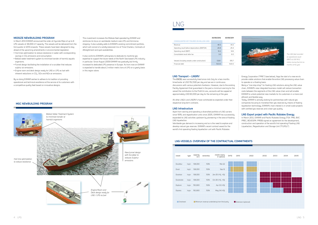### **MIDSIZE NEWBUILDING PROGRAM**

- Hull lines optimization to reduce resistance in water with corresponding savings in  $CO<sub>2</sub>$  emissions and consumption.
- Ballast water treatment system to minimize transfer of harmful aquatic organisms.
- Funnel design facilitating the installation of a scrubber that reduces sulphur air emissions.
- Engine room and deck design ready for LNG or LPG as fuel with inherent reductions in  $CO<sub>2</sub>$ , SOx and NOx air emissions.

In March 2012 EXMAR announced the order at Hyundai Mipo of up to 8 LPG vessels of 38,000 m<sup>3</sup> capacity. The vessels will be delivered from the first quarter of 2014 onwards. These vessels have been designed to stay ahead of the upcoming amendments in environmental legislation.

By so doing EXMAR wishes to adhere to its tradition of providing operational and technical excellence at the service of its customers with a competitive quality fleet based on innovative designs.

This investment increases the Midsize fleet operated by EXMAR and reinforces its focus on worldwide medium-size LPG and Ammonia shipping. It also suitably adds to EXMAR's existing commitment portfolio, which will consist of a solidly balanced mix of Time-Charters, Contracts of Affreightment and spot availabilities.

It also confirms EXMAR's willingness to dedicate its maritime gas expertise to support the future needs of the North Sea based LPG industry in particular. Since August 2009 EXMAR has gradually but firmly increased its dedicated LPG presence in Europe. As from now on EXMAR is expected to handle about 2 million metric tons of LPG on a yearly basis in this region alone.

*The LNG fleet recorded an operational result (EBIT) of USD 16.2 million during the first six months of the year.*

### **LNG Transport – LNGRV**

The *EXCEL* was successfully fixed since mid-July for a two months timecharter at USD 152,500 per day and we are in continuous discussions with various potential charterers. However, due to the existing Facility Agreement that guaranteed in the past a minimum earning for the vessel the contribution to the Profit & Loss, accounts will be capped at approximately USD 60,000 per day for the remaining of the year.

All other LNG/c and LNGRV's have contributed as expected under their respective long-term contracts.

### **LNG Infrastructure**

Apart from owning and operating a diversified portfolio of LNG carriers since 1978, and regasification units since 2005, EXMAR has successfully expanded its LNG activities upstream by pioneering in the area of floating LNG liquefaction.

Worldwide gas demand is increasing and so is the need to explore and develop natural gas reserves. EXMAR's recent contract award for the world's first operating floating liquefaction unit with Pacific Rubiales

Energy Corporation ("PRE") (see below), flags the start of a new era to provide viable solutions that enable the entire LNG processing value chain to operate on a floating basis.

Being a "one stop shop" for floating LNG solutions along the LNG value chain, EXMAR's new integrated business model will reduce transaction costs between the segments of the LNG value chain and will enable EXMAR to unlock potential new markets for its customers in a more cost efficient and flexible way.

Today, EXMAR is actively looking for partnerships with natural gas companies focusing to monetise their gas reserves by means of floating liquefaction technology. EXMAR's main interest is in small scale projects with certified gas reserves and a lean gas quality.

### **LNG Export project with Pacific Rubiales Energy**

In March 2012, EXMAR and Pacific Rubiales Energy (TSX: PRE; BVC: PREC; BOVESPA: PREB) signed an agreement for the development, construction and operation of the world's first operating Floating LNG Liquefaction, Regasification and Storage Unit ("FLRSU").



| vessel         | type   | capacity<br>(m <sup>3</sup> ) | ownership | charter expiry<br>(+ options) | Q4'12 | 2013 | 2022   |
|----------------|--------|-------------------------------|-----------|-------------------------------|-------|------|--------|
| Excalibur      | lng/c  | 138,000                       | 50%       | Mar-22                        |       |      |        |
| Excel          | ln q/c | 138,000                       | 50%       | Sep-12                        |       |      | $\sim$ |
| Excelsior      | Ingrv  | 138,000                       | 50%       | Jan-25 (+5j, +5j)             |       |      |        |
| Excelerate     | Ingrv  | 138,000                       | 50%       | Oct-26 (+5j, +5j)             |       |      | $\sim$ |
| Explorer       | Ingrv  | 150,900                       | 50%       | Apr-33 (+5j)                  |       |      | $\sim$ |
| <b>Express</b> | Ingrv  | 150,900                       | 50%       | May-34 (+5j)                  |       |      | $\sim$ |
|                |        |                               |           |                               |       |      |        |

Chartered Minimum revenue undertaking from third party Extension (optional)



# LNG

### **LNG-vessels: Overview of the contractual commitments**

|                                                  | 30/06/2012 | 30/06/2011      |
|--------------------------------------------------|------------|-----------------|
| <b>CONSOLIDATED KEY FIGURES (IN MILLION USD)</b> |            |                 |
| Revenue                                          | 46.5       | 44.3            |
| Operating result before depreciations (EBITDA)   | 26.8       | 25.4            |
| Operating result (EBIT)                          | 16.2       | 14 <sub>6</sub> |
| Consolidated result after tax                    | 36         | 60              |
|                                                  |            |                 |
| Vessels (including vessels under construction)   | 538.1      | 5157            |
| Financial debt                                   | 503.6      |                 |

**MGC Newbuilding Program**

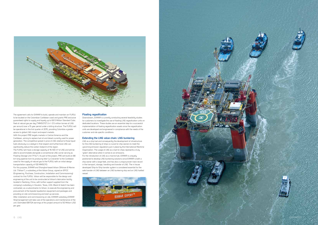

The agreement calls for EXMAR to build, operate and maintain an FLRSU to be located on the Colombian Caribbean coast and grants PRE exclusive guaranteed rights to supply and liquefy up to 69.5 Million Standard Cubic Feet of natural gas per day ("MMSCFD") (+/- 0.5 million tonnes of LNG per annum) over a 15 year period under a tolling structure. The FLRSU will be operational in the first quarter of 2015, providing Colombia a greater access to global LNG import and export markets.

The FLRSU will have a storage capacity of 16.100 m<sup>3</sup> of LNG and will be able to accommodate alongside a conventional LNG carrier serving as Floating Storage Unit ("FSU"). As part of the project, PRE will build an 88 km long pipeline from its producing field 'La Creciente' to the Caribbean coast for the supply of natural gas to the FLRSU with an initial design transportation capacity of 100 MMSCFD.

With this project PRE targets markets in Central America and the Caribbean, aiming to replace fuel oil and diesel currently used for power generation. The competitive spread in price of LNG relative to those liquid fuels obviously is a catalyst in that respect and furthermore LNG can significantly reduce the carbon footprint of the region.

For this purpose, EXMAR and Shanghai-based Wison Offshore & Marine Ltd. ("Wison"), a subsidiary of the Wison Group, signed an EPCIC (Engineering, Purchase, Construction, Installation and Commissioning) contract for this FLRSU. Wison will be responsible for the design and engineering of the unit to be constructed at Wison's fabrication facility located in Nantong, China, with further support supplied from the company's subsidiary in Houston, Texas, USA. Black & Veatch has been contracted, as a subcontractor to Wison, to execute the engineering and procurement of the topside liquefaction equipment and packages and providing on-site commissioning and start-up services.



After installation and commissioning on site, EXMAR subsidiary EXMAR Shipmanagement will take care of the operations and maintenance of the unit. Estimated EBITDA earnings of this project amount to 50 Million USD per year.

### **Floating regasification**

Downstream, EXMAR is currently conducting several feasibility studies for customers to investigate the use of floating LNG regasification units on dedicated locations. These studies are an essential step for a successful implementation of floating regasification assets since the regasification units are developed and engineered in compliance with the needs of the customer and site specific conditions.

### **Extending the LNG value chain: LNG bunkering**

LNG as a ship fuel and consequently the development of infrastructure for the LNG bunkering of ships is crucial for ship owners to meet the upcoming emission regulations put in place by the International Maritime Organisation. The usage of LNG as a fuel for ships represents a truly 'green' alternative when it comes to air emissions.

For the introduction of LNG as a marine fuel, EXMAR is uniquely positioned to develop LNG bunkering solutions since EXMAR is both a ship owner with a large fleet, and has also a unique proven track record in the transport, storage, handling and transfer of LNG. The in house developed Ship-to-Ship transfer system is considered essential for the safe transfer of LNG between an LNG bunkering ship and an LNG fuelled vessel.

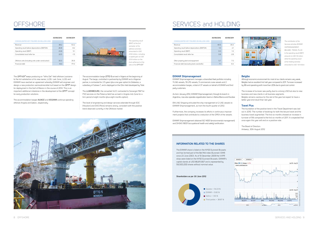*The operating result (EBIT) of the first semester of the offshore activities amounted to USD 23.8 million, including a capital gain of USD 23.9 million on the final settlement of the sale of the OPTI-EX® .*

The *OPTI-EX®* keeps producing on "Who Dat" field offshore Louisiana to the full satisfaction of its new owner, LLOG. Last June, LLOG and EXMAR have reached an agreement whereby EXMAR will engineer and design a new production semisubmersible hull based on the *OPTI®* design for deployment in the Gulf of Mexico in the course of 2014. This is an important additional milestone in the development of the *OPTI®* concept for early production solutions.

The accommodation barges *NUNCE* and *KISSAMA* continue operating offshore Angola and Gabon, respectively.

The accommodation barge *OTTO 5* arrived in Nigeria at the beginning of August. The barge, controlled in partnership by EXMAR and a Nigerian partner, is contracted for 2.5 years (plus one year option) to Globestar, a subsidiary of Subsea 7, and is deployed on the Ofon field developed by Total.

The *LUXEMBOURG*, the converted VLCC contracted to Sonangol P&P for FSO services on the Palanca field has arrived in Angola mid-June for a firm period of eight months (plus eight months option).

The level of engineering and design services extended through EOC (Houston) and DVO (Paris) remains strong, consistent with the positive trend observed currently in the Offshore market.



# **OFFSHORE**

|                                                     | 30/06/2012 | 30/06/2011       |
|-----------------------------------------------------|------------|------------------|
| <b>CONSOLIDATED KEY FIGURES (IN MILLION USD)</b>    |            |                  |
| Revenue                                             | 38.2       | 632              |
| Operating result before depreciations (EBITDA)      | 268        | 82               |
| Operating result (EBIT)                             | 23.8       | 51               |
| Consolidated result after tax                       | 225        | $-1\overline{5}$ |
|                                                     |            |                  |
| Offshore units (including units under construction) | 30 N       | 35 R             |
| Financial debt                                      |            |                  |





*The contribution of the Services activities (EXMAR SHIPMANAGEMENT, BELGIBO, TRAVEL PLUS) to the operating result (EBIT) amounts to USD 1.8 million while the operating result of the Holding activities amounted to USD -1.8 million.*

### **EXMAR Shipmanagement**

EXMAR Shipmanagement manages a diversified fleet portfolio including 11 LNG vessels, 19 LPG vessels, 5 commercial cruise vessels and 2 accommodation barges, a total of 37 vessels on behalf of EXMAR and third party customers.

As from January 2012, EXMAR Shipmanagement, through its branch in Argentina, now also operates regasification teams in Bahia Blanca and Escobar.

ENI LNG Shipping entrusted the ship management of 2 LNG vessels to EXMAR Shipmanagement, as from the fourth quarter of 2012.

Furthermore, the company increases its efforts in continuous improvement projects that contribute to a reduction of the OPEX of the vessels.

EXMAR Shipmanagement obtained ISO 14001 (environmental management) and OHSAS 18001 (occupational health and safety) certification.

### **Belgibo**

Although economic environment for most of our clients remains very weak, Belgibo had an excellent first half-year compared to 2011. Turnover increased by 8% and operating profit more than 20% due to good cost control.

The increase of turnover was partly due to a strong USD but also to new business and new clients in all business segments. Belgibo remains cautious for the rest of the year but expect to have a better year-end result than last year.

### **Travel Plus**

The foundation of the positive trend in the Travel Department was laid out in 2010. The number of bookings for both the leisure travel and the business travel augmented. The first six months showed an increase in turnover of 5% compared to the first six months of 2011. It is expected that once again this year will end on a positive note.

The Board of Directors Antwerp, 30th August 2012

### **Information related to the shares**

The EXMAR share is listed on the NYSE Euronext Brussels and has formed part of the Bel Mid index (Euronext: EXM) since 23 June 2003. As of 10 December 2009 the VVPR strips were listed on the NYSE Euronext Brussels. EXMAR's capital stands at USD 88,811,667 and is represented by 59,500,000 shares without nominal value.





 $\blacksquare$  Saverex = 54.23 %  $\blacksquare$  EXMAR = 5.60 %  $\blacksquare$  Sofina = 1.30 % Third parties = 38.87 %





# SERVICES and HOLDING

|                                                  | 30/06/2012 | 30/06/2011 |
|--------------------------------------------------|------------|------------|
| <b>CONSOLIDATED KEY FIGURES (IN MILLION USD)</b> |            |            |
| Revenue                                          | 40.5       | 393        |
| Operating result before depreciations (EBITDA)   | 1.0        | 21         |
| Operating result (EBIT)                          | nn         | 1Π         |
| Consolidated result after tax                    | n 8        | $-28$      |
|                                                  |            |            |
| Other property plant and equipment               | 57         | 7 N        |
| Financial debt (excluding bank overdrafts)       | 71         | 83         |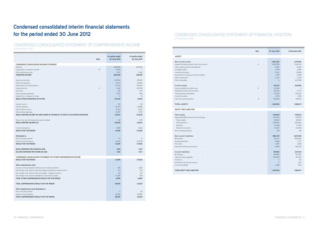| Note                                                                           | 6 months ended<br>30 June 2012 | 6 months ended<br>30 June 2011 |
|--------------------------------------------------------------------------------|--------------------------------|--------------------------------|
| <b>CONDENSED CONSOLIDATED INCOME STATEMENT</b>                                 |                                |                                |
| Revenue                                                                        | 228,806                        | 223,964                        |
| 5<br>Capital gain on disposal of assets                                        | 31,615                         | 7                              |
| Other operating income                                                         | 2,517                          | 1,545                          |
| <b>OPERATING INCOME</b>                                                        | 262,938                        | 225,516                        |
|                                                                                |                                |                                |
| Goods and services                                                             | $-147,962$                     | $-148,161$                     |
| Personnel expenses                                                             | $-22,171$                      | $-22,970$                      |
| Depreciations and amortisations                                                | $-37,372$                      | $-39,039$                      |
| 6<br>Impairment loss                                                           | $-1,382$                       | $-26,706$                      |
| Provisions                                                                     | 322                            | 230                            |
| Other operating expenses                                                       | $-1,822$                       | $-454$                         |
| Capital loss on disposal of assets                                             | $-11$                          | $\circ$                        |
| RESULT FROM OPERATING ACTIVITIES                                               | 52,539                         | $-11,584$                      |
|                                                                                |                                |                                |
| Interest income                                                                | 512                            | 174                            |
| Interest expenses                                                              | $-18,773$                      | $-21,888$                      |
| Other finance income                                                           | 8,372                          | 5,561                          |
| Other finance expenses                                                         | $-6,827$                       | $-7,791$                       |
| RESULT BEFORE INCOME TAX AND SHARE IN THE RESULT OF EQUITY ACCOUNTED INVESTEES | 35,823                         | $-35,528$                      |
|                                                                                |                                |                                |
| Share in the result of equity accounted investees                              | $-314$                         | $-576$                         |
| <b>RESULT BEFORE INCOME TAX</b>                                                | 35,509                         | $-36,104$                      |
|                                                                                |                                |                                |
| Income tax expense                                                             | $-1,858$                       | $-1,822$                       |
| <b>RESULT FOR THE PERIOD</b>                                                   | 33,651                         | $-37,926$                      |
| Attributable to:                                                               |                                |                                |
| Non-controlling interest                                                       | 10                             | 13                             |
| Owners of the Company                                                          | 33,641                         | $-37,939$                      |
| <b>RESULT FOR THE PERIOD</b>                                                   | 33,651                         | $-37,926$                      |
|                                                                                |                                |                                |
| <b>BASIC EARNINGS PER SHARE (IN USD)</b>                                       | 0.60                           | $-0.67$                        |
| DILUTED EARNINGS PER SHARE (IN USD)                                            | 0.60                           | $-0.67$                        |
|                                                                                |                                |                                |
| <b>CONDENSED CONSOLIDATED STATEMENT OF OTHER COMPREHENSIVE INCOME</b>          |                                |                                |
| <b>RESULT FOR THE PERIOD</b>                                                   | 33,651                         | $-37,926$                      |
|                                                                                |                                |                                |
| Other comprehensive result                                                     |                                |                                |
| Foreign currency translation differences for foreign operations                | $-581$                         | 3,481                          |
| Net change in fair value of cash flow hedges transferred to profit and loss    | 313                            | 312                            |
| Net change in fair value of cash flow hedges - hedge accounting                | $-22$                          | $-94$                          |
| Net change in fair value of available-for-sale financial assets                | 5,226                          | $-704$                         |
| TOTAL OTHER COMPREHENSIVE RESULT FOR THE PERIOD                                | 4,936                          | 2,995                          |
|                                                                                |                                |                                |
| TOTAL COMPREHENSIVE RESULT FOR THE PERIOD                                      | 38,587                         | $-34,931$                      |
|                                                                                |                                |                                |
| Total comprehensive result attributable to:                                    |                                |                                |
| Non-controlling interest                                                       | 6                              | 26                             |
| Owners of the Company<br>TOTAL COMPREHENSIVE RESULT FOR THE PERIOD             | 38,581                         | $-34,957$                      |
|                                                                                | 38,587                         | $-34,931$                      |

# **Condensed consolidated interim financial statements for the period ended 30 June 2012**

### CONDENSED CONSOLIDATED STATEMENT OF COMPREHENSIVE INCOME (in thousands of USD)

### CONDENSED CONSOLIDATED STATEMENT OF FINANCIAL POSITION (in thousands of USD)

| <b>ASSETS</b>                                  |  |
|------------------------------------------------|--|
|                                                |  |
| Non-current assets                             |  |
| Vessels (including vessels under construction) |  |
| Other property, plant and equipment            |  |
| Intangible assets                              |  |
| Investment property                            |  |
| Investments in equity accounted investees      |  |
| Other investments                              |  |
| Other receivables                              |  |
|                                                |  |
| Current assets                                 |  |
| Assets classified as held for sale             |  |
| Available-for-sale financial assets            |  |
| Trade and other receivables                    |  |
| Current tax assets                             |  |
| Cash and cash equivalents                      |  |
|                                                |  |
| <b>TOTAL ASSETS</b>                            |  |
| <b>EQUITY AND LIABILITIES</b>                  |  |
|                                                |  |
| Total equity                                   |  |
| Equity attributable to owners of the Company   |  |
| Share capital                                  |  |
| Share premium                                  |  |
| Reserves                                       |  |
| Result for the period                          |  |
| Non-controlling interest                       |  |
|                                                |  |
| Non-current liabilities                        |  |
| Borrowings                                     |  |
| Employee benefits                              |  |
| Provisions                                     |  |
| Derivative financial instruments               |  |
|                                                |  |
| Current liabilities                            |  |
| Borrowings                                     |  |
| Trade and other payables                       |  |
| Provisions                                     |  |
| Derivative financial instruments               |  |
| Current tax liability                          |  |
|                                                |  |
| TOTAL EQUITY AND LIABILITIES                   |  |
|                                                |  |
|                                                |  |
|                                                |  |
|                                                |  |
|                                                |  |
|                                                |  |

|                                                | <b>Note</b> | 30 June 2012 | 31 December 2011 |
|------------------------------------------------|-------------|--------------|------------------|
| <b>ASSETS</b>                                  |             |              |                  |
|                                                |             |              |                  |
| Non-current assets                             |             | 1,057,236    | 1,275,615        |
| Vessels (including vessels under construction) | 6           | 1,026,560    | 1,042,421        |
| Other property, plant and equipment            |             | 11,202       | 11,239           |
| Intangible assets                              |             | 2,738        | 2,945            |
| Investment property                            |             | 12,123       | 12,684           |
| Investments in equity accounted investees      |             | 2,176        | 2,508            |
| Other investments                              |             | 2,437        | 2,420            |
| Other receivables                              |             | $\circ$      | 201,398          |
| Current assets                                 |             | 344,701      | 322,656          |
| Assets classified as held for sale             | 6           | 30,994       | 0                |
| Available-for-sale financial assets            |             | 36,932       | 37,131           |
| Trade and other receivables                    |             | 110,674      | 130,523          |
| Current tax assets                             |             | 3,519        | 3,149            |
| Cash and cash equivalents                      | 8           | 162,582      | 151,853          |
| <b>TOTAL ASSETS</b>                            |             | 1,401,936    | 1,598,271        |
| <b>EQUITY AND LIABILITIES</b>                  |             |              |                  |
|                                                |             |              |                  |
| Total equity                                   |             | 344,608      | 342,823          |
| Equity attributable to owners of the Company   |             | 344,453      | 342,674          |
| Share capital                                  |             | 88,812       | 88,812           |
| Share premium                                  |             | 209,902      | 209,902          |
| Reserves                                       |             | 12,098       | 77,954           |
| Result for the period                          |             | 33,641       | $-33,994$        |
| Non-controlling interest                       |             | 155          | 149              |
| Non-current liabilities                        |             | 865,379      | 1,027,505        |
| Borrowings                                     |             | 747,477      | 894,655          |
| Employee benefits                              |             | 2,964        | 3,177            |
| Provisions                                     |             | 3,087        | 3,348            |
| Derivative financial instruments               |             | 111,851      | 126,325          |
| <b>Current liabilities</b>                     |             | 191,950      | 227,943          |
| Borrowings                                     |             | 88,586       | 123,622          |
| Trade and other payables                       |             | 100,980      | 102,163          |
| Provisions                                     |             | $\circ$      | 60               |
| Derivative financial instruments               |             | $\circ$      | 807              |
| Current tax liability                          |             | 2,384        | 1,291            |
| TOTAL EQUITY AND LIABILITIES                   |             | 1,401,936    | 1,598,271        |
|                                                |             |              |                  |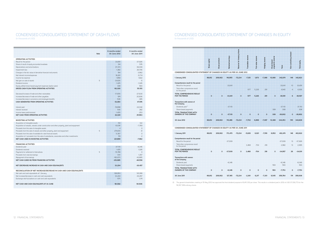### CONDENSED CONSOLIDATED STATEMENT OF CASH FLOWS

(in thousands of USD)

|                                                                                                        |      | 6 months ended  | 6 months ended   |
|--------------------------------------------------------------------------------------------------------|------|-----------------|------------------|
|                                                                                                        | Note | 30 June 2012    | 30 June 2011     |
|                                                                                                        |      |                 |                  |
| <b>OPERATING ACTIVITIES</b>                                                                            |      |                 |                  |
| Result for the period                                                                                  |      | 33,651<br>314   | $-37,926$<br>576 |
| Share of result of equity accounted investees                                                          |      | 37,372          | 39,039           |
| Depreciations and amortisations                                                                        |      |                 | 26,706           |
| Impairment loss                                                                                        |      | 1,382           |                  |
| Changes in the fair value of derivative financial instruments                                          |      | 184             | 3,962            |
| Net interest income/expenses                                                                           |      | 18,261<br>1,858 | 21,714<br>1,822  |
| Income tax expense<br>Net gain on sale of assets                                                       | 5    | $-31,605$       | $-5$             |
| Dividend income                                                                                        |      | $-1,425$        | $-1,326$         |
|                                                                                                        |      | 308             | 593              |
| Equity settled share-based payment expenses (option plan)<br>GROSS CASH FLOW FROM OPERATING ACTIVITIES |      |                 | 55.155           |
|                                                                                                        |      | 60,300          |                  |
| Decrease/increase of trade and other receivables                                                       |      | $-17,655$       | $-27,630$        |
| Increase/decrease of trade and other payables                                                          |      | 974             | 20,836           |
| Increase/decrease in provisions and employee benefits                                                  |      | $-536$          | $-385$           |
| CASH GENERATED FROM OPERATING ACTIVITIES                                                               |      | 43,083          | 47.976           |
|                                                                                                        |      |                 |                  |
| Interest paid                                                                                          |      | $-19,898$       | $-22,042$        |
| Interest received                                                                                      |      | 540             | 282              |
| Income taxes paid/received                                                                             |      | $-1,405$        | $-253$           |
| NET CASH FROM OPERATING ACTIVITIES                                                                     |      | 22,320          | 25.963           |
|                                                                                                        |      |                 |                  |
| <b>INVESTING ACTIVITIES</b>                                                                            |      |                 |                  |
| Acquisition of intangible assets                                                                       |      | $-50$           | $-122$           |
| Acquisition of vessels, vessels under construction and other property, plant and equipment             |      | $-63,181$       | $-7,769$         |
| Proceeds from the sale of intangible assets                                                            |      | $\overline{4}$  | $\circ$          |
| Proceeds from the sale of vessels and other property, plant and equipment                              | 5    | 279,610         | 31               |
| Proceeds from the sale of available for sale financial assets                                          |      | 5,367           | 0                |
| Acquisition of / proceeds from the sale of subsidiaries, associates and other investments              |      | 119             | $-2$             |
| NET CASH USED IN INVESTING ACTIVITIES                                                                  |      | 221,869         | $-7.862$         |
|                                                                                                        |      |                 |                  |
| <b>FINANCING ACTIVITIES</b>                                                                            |      |                 |                  |
| Dividends paid                                                                                         |      | $-37,110$       | $-8,346$         |
| Dividends received                                                                                     |      | 1,425           | 1,326            |
| Payments for setlement of derivatives                                                                  | 5    | $-15,789$       | $\cup$           |
| Proceeds from new borrowings                                                                           |      | 1,161           | 1,357            |
| Repayment of borrowings                                                                                |      | $-160,672$      | $-42,895$        |
| NET CASH (USED IN) FROM FINANCING ACTIVITIES                                                           |      | $-210,985$      | $-48.558$        |
| NET (DECREASE) INCREASE IN CASH AND CASH EQUIVALENTS                                                   |      | 33,204          | $-30.457$        |
|                                                                                                        |      |                 |                  |
| <b>RECONCILIATION OF NET INCREASE/DECREASE IN CASH AND CASH EQUIVALENTS</b>                            |      |                 |                  |
| Net cash and cash equivalents at 1 January                                                             |      | 128,953         | 120,189          |
| Net increase/decrease in cash and cash equivalents                                                     |      | 33,204          | $-30.457$        |
| Exchange rate fluctuations on cash and cash equivalents                                                |      | $-575$          | 1,174            |
|                                                                                                        |      |                 |                  |
| NET CASH AND CASH EQUIVALENTS AT 30 JUNE                                                               |      | 161,582         | 90.906           |
|                                                                                                        |      |                 |                  |

### CONDENSED CONSOLIDATED STATEMENT OF CHANGES IN EQUITY (in thousands of USD)

(1) The general shareholders meeting of 15 May 2012 has approved the final dividend proposal of EUR 0.50 per share. This results in a dividend paid in 2012 of USD 37,109,773 for the 56,167.358 ordinary shares.



|                                                                                                                  | capital<br>Share | Share premium | Retained earnings | Reserve for treasury shares | Translation reserve | Fair value reserve | Hedging reserve | payments reserve<br>Share-based | Total           | Non-controlling interest | Total equity    |  |
|------------------------------------------------------------------------------------------------------------------|------------------|---------------|-------------------|-----------------------------|---------------------|--------------------|-----------------|---------------------------------|-----------------|--------------------------|-----------------|--|
| CONDENSED CONSOLIDATED STATEMENT OF CHANGES IN EQUITY AS PER 30 JUNE 2012                                        |                  |               |                   |                             |                     |                    |                 |                                 |                 |                          |                 |  |
| 1 January 2012                                                                                                   | 88,812           | 209,902       | 118,955           | $-72,234$                   | $-7,125$            | 1,673              | $-7,388$        | 10,080                          | 342,674         | 149                      | 342,823         |  |
| Comprehensive result for the period<br>Result for the period<br>Total other comprensive result<br>for the period |                  |               | 33,641            |                             | $-577$              | 5,226              | 291             |                                 | 33,641<br>4,940 | 10<br>$-4$               | 33,651<br>4,936 |  |
| TOTAL COMPREHENSIVE RESULT<br>FOR THE PERIOD                                                                     | $\mathbf 0$      | 0             | 33,641            | $\circ$                     | $-577$              | 5,226              | 291             | $\mathbf 0$                     | 38,581          | 6                        | 38,587          |  |
| Transactions with owners of<br>the Company                                                                       |                  |               |                   |                             |                     |                    |                 |                                 |                 |                          |                 |  |
| Dividends paid (1)                                                                                               |                  |               | $-37,110$         |                             |                     |                    |                 |                                 | $-37,110$       |                          | $-37,110$       |  |
| Share-based payments                                                                                             |                  |               |                   |                             |                     |                    |                 | 308                             | 308             |                          | 308             |  |
| TOTAL TRANSACTIONS WITH<br>OWNERS OF THE COMPANY                                                                 | $\mathbf 0$      | 0             | $-37,110$         | $\mathbf 0$                 | 0                   | $\mathbf{O}$       | 0               | 308                             | $-36,802$       | 0                        | $-36,802$       |  |
| 30 June 2012                                                                                                     | 88,812           | 209,902       | 115,486           | $-72,234$                   | $-7,702$            | 6,899              | $-7,097$        | 10,388                          | 344,453         | 155                      | 344,608         |  |
| CONDENSED CONSOLIDATED STATEMENT OF CHANGES IN EQUITY AS PER 30 JUNE 2011                                        |                  |               |                   |                             |                     |                    |                 |                                 |                 |                          |                 |  |
| 1 January 2011                                                                                                   | 88,812           | 209,902       | 173,470           | $-72,234$                   | $-5,829$            | 6,921              | $-7,519$        | 8,952                           | 402,474         | 148                      | 402,622         |  |
| Comprehensive result for the period                                                                              |                  |               |                   |                             |                     |                    |                 |                                 |                 |                          |                 |  |
| Result for the period                                                                                            |                  |               | $-37,939$         |                             |                     |                    |                 |                                 | $-37,939$       | 13                       | $-37,926$       |  |
| Total other comprensive result<br>for the period                                                                 |                  |               |                   |                             | 3.468               | $-704$             | 218             |                                 | 2,982           | 13                       | 2,995           |  |
| TOTAL COMPREHENSIVE RESULT<br>FOR THE PERIOD                                                                     | $\mathbf 0$      | $\mathsf 0$   | $-37,939$         | 0                           | 3,468               | $-704$             | 218             | 0                               | $-34,957$       | 26                       | $-34,931$       |  |
| Transactions with owners<br>of the Company                                                                       |                  |               |                   |                             |                     |                    |                 |                                 |                 |                          |                 |  |
| Dividends paid                                                                                                   |                  |               | $-8,346$          |                             |                     |                    |                 |                                 | $-8,346$        |                          | $-8,346$        |  |
| Share-based payments                                                                                             |                  |               |                   |                             |                     |                    |                 | 593                             | 593             |                          | 593             |  |
| TOTAL TRANSACTIONS WITH<br>OWNERS OF THE COMPANY                                                                 | $\mathsf 0$      | 0             | $-8,346$          | $\circ$                     | 0                   | 0                  | $\mathsf 0$     | 593                             | $-7,753$        | 0                        | $-7,753$        |  |
| 30 June 2011                                                                                                     | 88,812           | 209,902       | 127,185           | $-72,234$                   | $-2,361$            | 6,217              | $-7,301$        | 9,545                           | 359,764         | 174                      | 359,938         |  |

|                                                                                  | capital<br>Share | premium<br>Share p | earnings<br>Retained | Reserve for treasury shares | Translation reserve | Fair value reserve | Hedging reserve | payments reserve<br>Share-based | <b>Total</b> | Non-controlling interest | Total equity |
|----------------------------------------------------------------------------------|------------------|--------------------|----------------------|-----------------------------|---------------------|--------------------|-----------------|---------------------------------|--------------|--------------------------|--------------|
| <b>CONDENSED CONSOLIDATED STATEMENT OF CHANGES IN EQUITY AS PER 30 JUNE 2012</b> |                  |                    |                      |                             |                     |                    |                 |                                 |              |                          |              |
| 1 January 2012                                                                   | 88,812           | 209,902            | 118,955              | $-72,234$                   | $-7,125$            | 1,673              | $-7,388$        | 10,080                          | 342,674      | 149                      | 342,823      |
| Comprehensive result for the period<br>Result for the period                     |                  |                    | 33,641               |                             |                     |                    |                 |                                 | 33,641       | 10                       | 33,651       |
| Total other comprensive result<br>for the period                                 |                  |                    |                      |                             | $-577$              | 5,226              | 291             |                                 | 4,940        | $-4$                     | 4,936        |
| TOTAL COMPREHENSIVE RESULT<br>FOR THE PERIOD                                     | 0                | $\overline{0}$     | 33,641               | o                           | $-577$              | 5,226              | 291             | O                               | 38,581       | 6                        | 38,587       |
| Transactions with owners of<br>the Company                                       |                  |                    |                      |                             |                     |                    |                 |                                 |              |                          |              |
| Dividends paid (1)                                                               |                  |                    | $-37,110$            |                             |                     |                    |                 |                                 | $-37,110$    |                          | $-37,110$    |
| Share-based payments                                                             |                  |                    |                      |                             |                     |                    |                 | 308                             | 308          |                          | 308          |
| TOTAL TRANSACTIONS WITH<br>OWNERS OF THE COMPANY                                 | $\overline{0}$   | $\overline{0}$     | $-37,110$            | O                           | $\mathbf 0$         | 0                  | 0               | 308                             | $-36,802$    | 0                        | $-36,802$    |
| 30 June 2012                                                                     | 88,812           | 209,902            | 115,486              | $-72,234$                   | $-7,702$            | 6,899              | $-7,097$        | 10,388                          | 344,453      | 155                      | 344,608      |
|                                                                                  |                  |                    |                      |                             |                     |                    |                 |                                 |              |                          |              |
| <b>CONDENSED CONSOLIDATED STATEMENT OF CHANGES IN EQUITY AS PER 30 JUNE 2011</b> |                  |                    |                      |                             |                     |                    |                 |                                 |              |                          |              |
| 1 January 2011                                                                   | 88,812           | 209,902            | 173,470              | $-72,234$                   | $-5,829$            | 6,921              | $-7,519$        | 8,952                           | 402,474      | 148                      | 402,622      |
| Comprehensive result for the period<br>Result for the period                     |                  |                    | $-37,939$            |                             |                     |                    |                 |                                 | $-37,939$    | 13                       | $-37,926$    |
| Total other comprensive result<br>for the period                                 |                  |                    |                      |                             | 3.468               | $-704$             | 218             |                                 | 2.982        | 13                       | 2,995        |
| TOTAL COMPREHENSIVE RESULT<br>FOR THE PERIOD                                     | $\mathbf 0$      | $\mathbf 0$        | $-37,939$            | $\circ$                     | 3,468               | $-704$             | 218             | $\circ$                         | $-34,957$    | 26                       | $-34,931$    |
| Transactions with owners<br>of the Company                                       |                  |                    |                      |                             |                     |                    |                 |                                 |              |                          |              |
| Dividends paid                                                                   |                  |                    | $-8,346$             |                             |                     |                    |                 |                                 | $-8,346$     |                          | $-8,346$     |
| Share-based payments                                                             |                  |                    |                      |                             |                     |                    |                 | 593                             | 593          |                          | 593          |
| TOTAL TRANSACTIONS WITH<br>OWNERS OF THE COMPANY                                 | $\circ$          | $\mathsf 0$        | $-8,346$             | $\circ$                     | $\mathsf 0$         | O                  | 0               | 593                             | $-7,753$     | $\mathsf 0$              | $-7,753$     |
| 30 June 2011                                                                     | 88,812           | 209,902            | 127,185              | $-72,234$                   | $-2,361$            | 6,217              | $-7,301$        | 9,545                           | 359,764      | 174                      | 359,938      |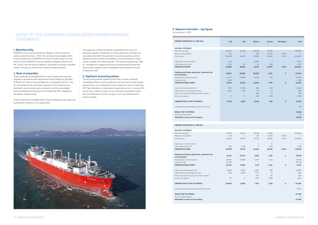### NOTES TO THE CONDENSED CONSOLIDATED INTERIM FINANCIAL **STATEMENTS**

### **1. Reporting entity**

EXMAR NV is a company domiciled in Belgium, whose shares are publicly traded (Euronext - EXM). The condensed consolidated interim financial statements of EXMAR NV for the six months ended 30 June 2012 comprise EXMAR NV and its subsidiaries (together referred to as the "Group") and the Group's interests in associates and jointly controlled entities. The Group is active in the industrial shipping business.

### **2. Basis of preparation**

These condensed consolidated interim financial statements have been prepared in accordance with International Financial Reporting Standard (IFRS) IAS 34 "Interim Financial Reporting" as adopted by the EU. They do not include all of the information required for full annual financial statements, and should be read in conjunction with the consolidated financial statements of the Group as at 31 December 2011, available on the website: www.exmar.be.

These condensed consolidated interim financial statements were approved by the board of directors on 30 August 2012.

The preparation of these condensed consolidated interim financial statements requires management to make judgements, estimates and assumptions that affect the application of accounting policies and the reported amounts of assets and liabilities, income and expense. Actual results may differ from these estimates. The significant judgements made by management in applying the Group's accounting policies were the same as those applied to the consolidated financial statements as per 31 December 2011.

### **3. Significant accounting policies**

The accounting policies applied by the Group in these condensed consolidated interim financial statements are the same as those applied by the Group in its consolidated financial statements as per 31 December 2011. New standards or interpretations applicable as from 1 January 2012 do not have a material impact on the condensed consolidated interim financial statements and have not given rise to any restatements of previous periods.



### **4. Segment information - key figures**

(In thousands of USD)

| SEGMENT REPORTING 30 JUNE 2012                        | LPG       | <b>LNG</b>   | <b>Offshore</b> | <b>Services</b> | Eliminations | <b>Total</b> |
|-------------------------------------------------------|-----------|--------------|-----------------|-----------------|--------------|--------------|
|                                                       |           |              |                 |                 |              |              |
|                                                       |           |              |                 |                 |              |              |
| <b>INCOME STATEMENT</b>                               |           |              |                 |                 |              |              |
| Revenue third party                                   | 109,847   | 46,475       | 38,034<br>156   | 34,450          |              | 228,806<br>0 |
| Revenue intra-segment                                 | 152       |              |                 | 6,004           | $-6,313$     |              |
| Total revenue                                         | 109,999   | 46,476       | 38,190          | 40,454          | $-6,313$     | 228,806      |
| Capital gain on sale of assets                        | 7,716     |              | 23,897          | $\overline{2}$  |              | 31,615       |
| Other operating income                                | 1,750     | 219          | 60              | 488             |              | 2,517        |
| <b>OPERATING INCOME</b>                               | 119,465   | 46,695       | 62,147          | 40,944          | $-6,313$     | 262,938      |
|                                                       |           |              |                 |                 |              |              |
| Operating result before depreciation, impairment loss |           |              |                 |                 |              |              |
| and amortisation                                      | 36,663    | 26,806       | 26,840          | 2,736           | O            | 93,045       |
| Depreciations and amortisations                       | $-22,777$ | $-10,568$    | $-3,032$        | $-941$          |              | $-37,318$    |
| Impairment loss                                       | $-1,382$  |              |                 |                 |              | $-1,382$     |
| OPERATING RESULT (EBIT)                               | 12,504    | 16,238       | 23,808          | 1,795           | O            | 54,345       |
|                                                       |           |              |                 |                 |              |              |
| Interest income/expenses (net)                        | $-7,011$  | $-11,343$    | $-844$          | $-143$          |              | $-19,341$    |
| Other finance income/expenses (net)                   | 1,223     | $-1,318$     | 311             | $-10$           |              | 206          |
| Share in the result of equity accounted investees     |           |              | $-322$          | 8               |              | $-314$       |
| Income tax expense                                    | $-11$     | $-13$        | $-502$          | $-1,150$        |              | $-1,676$     |
|                                                       |           |              |                 |                 |              |              |
| SEGMENT RESULT FOR THE PERIOD                         | 6,705     | 3,564        | 22,451          | 500             | О            | 33,220       |
|                                                       |           |              |                 |                 |              |              |
| Unallocated overhead expenses and finance result      |           |              |                 |                 |              | 431          |
|                                                       |           |              |                 |                 |              |              |
| RESULT FOR THE PERIOD                                 |           |              |                 |                 |              | 33,651       |
| Non-controlling interest                              |           |              |                 |                 |              | 10           |
| Attributable to owners of the Company                 |           |              |                 |                 |              | 33,641       |
|                                                       |           |              |                 |                 |              |              |
|                                                       |           |              |                 |                 |              |              |
| SEGMENT REPORTING 30 JUNE 2011                        |           |              |                 |                 |              |              |
|                                                       |           |              |                 |                 |              |              |
| <b>INCOME STATEMENT</b>                               |           |              |                 |                 |              |              |
| Revenue third party                                   | 83,165    | 44,304       | 63,104          | 33,391          |              | 223,964      |
| Revenue intra-segment                                 | 461       | $\mathbf{1}$ | 88              | 5,902           | $-6,452$     | 0            |
| Total revenue                                         | 83,626    | 44,305       | 63,192          | 39,293          | $-6,452$     | 223,964      |
|                                                       |           |              |                 |                 |              |              |
| Capital gain on sale of assets                        |           |              | 1               | 6               |              | 7            |
| Other operating income                                | 269       | 1,036        | 11              | 229             |              | 1,545        |
| <b>OPERATING INCOME</b>                               | 83,895    | 45,341       | 63,204          | 39,528          | $-6,452$     | 225,516      |
|                                                       |           |              |                 |                 |              |              |
| Operating result before depreciation, impairment loss | 18,432    | 25,370       | 8,165           | 4,351           | n            | 56,318       |
| and amortisation                                      |           |              |                 |                 |              |              |
| Depreciations and amortisations                       | $-24,060$ | $-10,808$    | $-3,047$        | $-1,124$        |              | $-39,039$    |
| Impairment loss                                       | $-26,706$ |              |                 |                 |              | $-26,706$    |
| OPERATING RESULT (EBIT)                               | $-32,334$ | 14,562       | 5,118           | 3,227           | $\mathsf 0$  | $-9,427$     |
|                                                       |           |              |                 |                 |              |              |
| Interest income/expenses (net)                        | $-6,829$  | $-11,245$    | $-3,843$        | $-168$          |              | $-22,085$    |
| Other finance income/expenses (net)                   | $-382$    | 2,694        | $-1,477$        | 19              |              | 854          |
| Share in the result of equity accounted investees     |           |              | $-615$          | 39              |              | $-576$       |
| Income tax expense                                    | $-75$     | $-11$        | $-693$          | $-1,043$        |              | $-1,822$     |
| SEGMENT RESULT FOR THE PERIOD                         | $-39,620$ | 6,000        | $-1,510$        | 2,074           | $\circ$      | $-33,056$    |
| Unallocated overhead expenses and finance result      |           |              |                 |                 |              | $-4,870$     |
|                                                       |           |              |                 |                 |              |              |
| RESULT FOR THE PERIOD                                 |           |              |                 |                 |              | $-37,926$    |
| Non-controlling interest                              |           |              |                 |                 |              | 13           |
| Attributable to owners of the Company                 |           |              |                 |                 |              | $-37,939$    |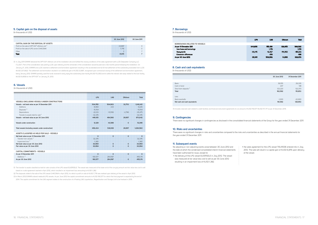### **6. Vessels**

(In thousands of USD)

### **5. Capital gain on the disposal of assets**

(In thousands of USD)

|                                    | 30 June 2012 | 31 December 2011 |
|------------------------------------|--------------|------------------|
|                                    |              |                  |
| Bank                               | 39,155       | 29,335           |
| Cash in hand                       | 207          | 148              |
| Short-term deposits <sup>(1)</sup> | 123,220      | 122,370          |
| <b>Total</b>                       | 162,582      | 151,853          |
| Less:                              |              |                  |
| Bank overdrafts                    | $-1,000$     | $-22,900$        |
| Net cash and cash equivalents      | 161,582      | 128,953          |
|                                    |              |                  |

(1) Includes reserved cash related to credit facilities and financial instrument agreements for an amount of KUSD 119,577 (KUSD 117,717 as per 31 December 2011).

#### **9. Contingencies**

There were no significant changes in contingencies as disclosed in the consolidated financial statements of the Group for the year ended 31 December 2011.

(1) The transfer to assets classified as held for sale consists of the LPG vessel ELVERSELE. The vessel was measured at the lower end of the carrying amount and fair value less cost to sell based on a sale agreement reached in April 2012, which resulted in an impairment loss amounting to KUSD 1,382.

|                                                                                                                           | <b>LPG</b>                      | <b>LNG</b>                                         | <b>Offshore</b>                 | <b>Total</b>                                        |
|---------------------------------------------------------------------------------------------------------------------------|---------------------------------|----------------------------------------------------|---------------------------------|-----------------------------------------------------|
| <b>BORROWINGS RELATED TO VESSELS</b>                                                                                      |                                 |                                                    |                                 |                                                     |
| As per 31 December 2011<br>New loans and borrowings<br>Repayments<br><b>Conversion differences</b><br>As per 30 June 2012 | 344,806<br>$-33,415$<br>311,391 | 515,426<br>1,179<br>$-12,407$<br>$-616$<br>503,582 | 128,350<br>$-114,350$<br>14,000 | 988,582<br>1,179<br>$-160,172$<br>$-616$<br>828,973 |
| 8. Cash and cash equivalents<br>(In thousands of USD)                                                                     |                                 |                                                    |                                 |                                                     |

### **7. Borrowings**

(In thousands of USD)

(1) In July 2011 EXMAR delivered the OPTI-EX® offshore unit at the installation site and fulfilled the closing conditions of the sales agreement with LLOG Deepwater Company LLC ("LLOG"). Part of the consideration was paid by LLOG upon delivery and the remainder of the consideration would be paid over a 62 months period following the installation. On January 27, 2012, EXMAR and LLOG reached a settlement and termination agreement resulting in the accelerated and full & final settlement of the outstanding receivable from LLOG (KUSD 237,802). The settlement and termination resulted in an additional gain of KUSD 23,897, recognised upon contractual closing of the settlement and termination agreement, being January 2012. EXMAR partially used the funds received to early repay the outstanding loan facility (KUSD 113,350) and to settle the interest rate swap related to the loan facility (KUSD 9,669) for the OPTI-EX® on January 31, 2012.

(2) The disposals relate to the sale of the LPG vessel CHACONIA in April 2012, for which a profit on sale of KUSD 7,716 was realised upon delivery of the vessel in April 2012.

(3) In March 2012 EXMAR ordered newbuild LPG vessels. As per June 2012 the capital commitment amounts to KUSD 190,577 for which the final payment is expected by the end of

2014. The capital commitment for the LNG segment relates to the construction of a Floating LNG Liquefaction, Regasification and Storage Unit to be finalised in 2015.

|                                                       | <b>LPG</b> | LNG       | Offshore       | Total     |
|-------------------------------------------------------|------------|-----------|----------------|-----------|
| <b>VESSELS (INCLUDING VESSELS UNDER CONSTRUCTION)</b> |            |           |                |           |
| Vessels - net book value as per 31 December 2011      | 504,765    | 504,903   | 32,753         | 1,042,421 |
| Additions                                             | 8,993      | 233       |                | 9,226     |
| Disposals <sup>(2)</sup>                              | $-10.154$  |           |                | $-10,154$ |
| Depreciations                                         | $-22,123$  | $-10,556$ | $-2,796$       | $-35,475$ |
| Transfer to assets held for sale <sup>(1)</sup>       | $-32,376$  |           |                | $-32,376$ |
| Vessels - net book value as per 30 June 2012          | 449,105    | 494,580   | 29,957         | 973,642   |
| Vessels under construction                            | 9,329      | 43,589    | 0              | 52,918    |
| Total vessels (including vessels under construction)  | 458,434    | 538,169   | 29,957         | 1,026,560 |
| ASSETS CLASSIFIED AS HELD FOR SALE - VESSELS          |            |           |                |           |
| Net book value as per 31 December 2011                | O          | $\circ$   | $\circ$        | $\circ$   |
| Transfer from vessels <sup>(1)</sup>                  | 32,376     |           |                | 32,376    |
| Impairment loss <sup>(0</sup>                         | $-1.382$   |           |                | $-1,382$  |
| Net book value as per 30 June 2012                    | 30,994     | Ω         | $\Omega$       | 30,994    |
| Fair value as per 30 June 2012                        | 30,994     |           | n              | 30,994    |
|                                                       |            |           |                |           |
| <b>CAPITAL COMMITMENTS - VESSELS</b>                  |            |           |                |           |
| As per 31 December 2011                               | n          | n         | n              | $\Omega$  |
| Additions <sup>(3)</sup>                              | 190,577    | 264,597   |                | 455,174   |
| As per 30 June 2012                                   | 190,577    | 264,597   | $\overline{a}$ | 455,174   |
|                                                       |            |           |                |           |

|                                                  | June 2011. |
|--------------------------------------------------|------------|
| <b>CAPITAL GAIN ON THE DISPOSAL OF ASSETS</b>    |            |
| Profit on the sale of OPTI-EX® offshore unit (1) |            |
| le of LPG carrier C<br>INIA                      |            |
| ∩thei                                            |            |
| <b>Tota</b>                                      |            |
|                                                  |            |

No adjusting or non-adjusting events arose between 30 June 2012 and the date at which the condensed consolidated interim financial statements have been authorised for issue, except for

• the delivery of the LPG vessel ELVERSELE in July 2012. The vessel was measured at fair value less cost to sell as per 30 June 2012 resulting in an impairment loss of KUSD 1,382.

• the sales agreement for the LPG vessel TIELRODE entered into in July 2012. The sale will result in a capital gain of KUSD 6,876 upon delivery of the vessel.

### **11. Subsequent events**

#### **10. Risks and uncertainties**

There were no significant changes in risks and uncertainties compared to the risks and uncertainties as described in the annual financial statements for the year ended 31 December 2011.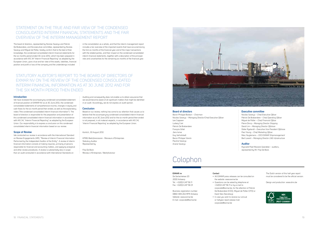The Dutch version of this half year report must be considered to be the official version.

Design and production: www.dms.be



# Colophon

### **Board of directors**

Baron Philippe Bodson – *Chairman*  Nicolas Saverys – *Managing Director/Chief Executive Officer* Leo Cappoen Ludwig Criel Patrick De Brabandere François Gillet Jens Ismar Guy Verhofstadt Baron Philippe Vlerick Pauline Saverys Ariane Saverys

### **Executive committee**

Nicolas Saverys – *Chief Executive Officer* Patrick De Brabandere – *Chief Operating Officer*  Miguel de Potter – *Chief Financial Officer* Pierre Dincq – *Managing Director Shipping*  David Lim – *Managing Director Offshore*  Didier Ryelandt – *Executive Vice President Offshore* Paul Young – *Chief Marketing Officer* Marc Nuytemans – *CEO EXMAR Shipmanagement*  Bart Lavent – *Managing Director LNG Infrastructure*

### **Auditor**

Klynveld Peat Marwick Goerdeler – auditors, represented by Mr. Filip De Bock.

### **EXMAR nv**

De Gerlachekaai 20 2000 Antwerp Tel.: +32(0)3 247 56 11 Fax: +32(0)3 247 56 01

Business registration number: 0860 409 202 RPR Antwerp Website: www.exmar.be E-mail: corporate@exmar.be

### **Contact**

- All EXMAR press releases can be consulted on the website: www.exmar.be
- Questions can be asked by telephone at +32(0)3 247 56 11 or by e-mail to corporate@exmar.be, for the attention of Patrick De Brabandere (COO), Miguel de Potter (CFO) or Karel Stes (Secretary).
- In case you wish to receive our annual or halfyear report please mail: corporate@exmar.be

### **Introduction**

We have reviewed the accompanying condensed consolidated statement of financial position of EXMAR NV as at 30 June 2012, the condensed consolidated statements of comprehensive income, changes in equity and cash flows for the six month period then ended, as well as the explanatory notes ("the condensed consolidated interim financial information"). The board of directors is responsible for the preparation and presentation of this condensed consolidated interim financial information in accordance with IAS 34, "Interim Financial Reporting" as adopted by the European Union. Our responsibility is to express a conclusion on this condensed consolidated interim financial information based on our review.

in the consolidation as a whole, and that the interim management report includes a fair overview of the important events that have occurred during the first six months of the financial year and of the major transactions with the related parties, and their impact on the condensed consolidated interim financial statements, together with a description of the principal risks and uncertainties for the remaining six months of the financial year.

### **Scope of Review**

We conducted our review in accordance with the International Standard on Review Engagements 2410, "Review of Interim Financial Information Performed by the Independent Auditor of the Entity". A review of interim financial information consists of making inquiries, primarily of persons responsible for financial and accounting matters, and applying analytical and other review procedures. A review is substantially less in scope than an audit conducted in accordance with International Standards on

Auditing and consequently does not enable us to obtain assurance that we would become aware of all significant matters that might be identified in an audit. Accordingly, we do not express an audit opinion.

### **Conclusion**

Based on our review, nothing has come to our attention that causes us to believe that the accompanying condensed consolidated interim financial information as at 30 June 2012 and for the six month period then ended is not prepared, in all material respects, in accordance with IAS 34, 'Interim Financial Reporting' as adopted by the European Union.

Kontich, 30 August 2012

KPMG Bedrijfsrevisoren - Réviseurs d'Entreprises Statutory Auditor Represented by

Filip De Bock Réviseur d'Entreprises / Bedrijfsrevisor



The board of directors, represented by Nicolas Saverys and Patrick De Brabandere, and the executive committee, represented by Nicolas Saverys and Miguel de Potter, hereby confirm that to the best of their knowledge, the condensed consolidated interim financial statements for the six months period ended 30 June 2012, which has been prepared in accordance with IAS 34 "Interim Financial Reporting" as adopted by the European Union, give a true and fair view of the assets, liabilities, financial position and profit or loss of the company and the undertakings included

### STATUTORY AUDITOR'S REPORT TO THE BOARD OF DIRECTORS OF EXMAR NV ON THE REVIEW OF THE CONDENSED CONSOLIDATED INTERIM FINANCIAL INFORMATION AS AT 30 JUNE 2012 AND FOR THE SIX MONTH PERIOD THEN ENDED

### STATEMENT ON THE TRUE AND FAIR VIEW OF THE CONDENSED CONSOLIDATED INTERIM FINANCIAL STATEMENTS AND THE FAIR OVERVIEW OF THE INTERIM MANAGEMENT REPORT